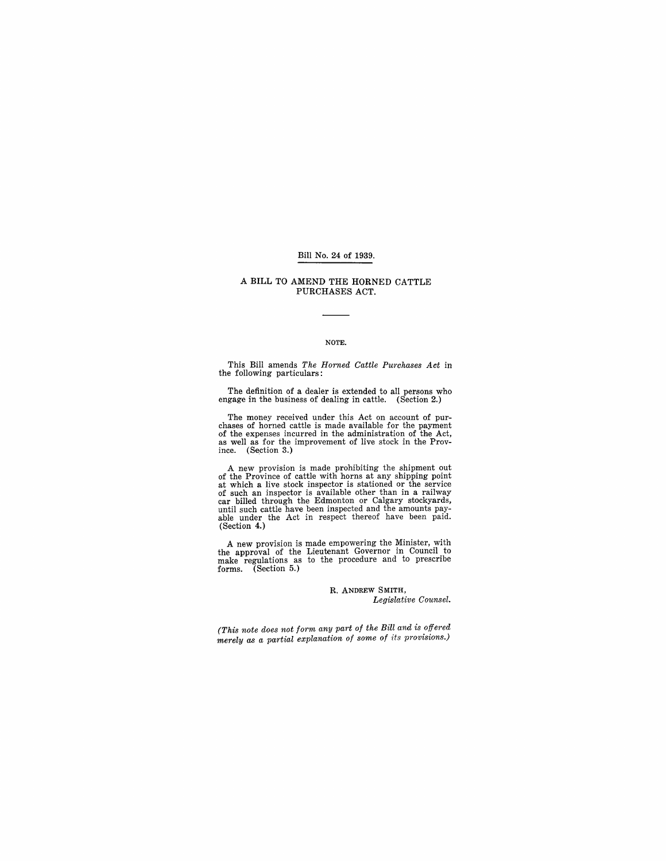### Bill No. 24 of 1939.

### A BILL TO AMEND THE HORNED CATTLE PURCHASES ACT.

#### NOTE.

This Bill amends *The Horned Cattle Purchases Act* in the following particulars:

The definition of a dealer is extended to all persons who engage in the business of dealing in cattle. (Section 2.)

The money received under this Act on account of pur-chases of horned cattle is made available for the payment as well as for the improvement of live stock in the Province. (Section 3.)

A new provision is made prohibiting the shipment out<br>of the Province of cattle with horns at any shipping point<br>at which a live stock inspector is stationed or the service<br>of such an inspector is available other than in a (Section 4.)

A new provision is made empowering the Minister, with the approval of the Lieutenant Governor in Council to make regulations as to the procedure and to prescribe forms. (Section 5.)

### R. ANDREW SMITH, *Legislative Counsel.*

*(This note does not form any part of the Bill and is offered merely as a partial explanation of some of its provisions.)*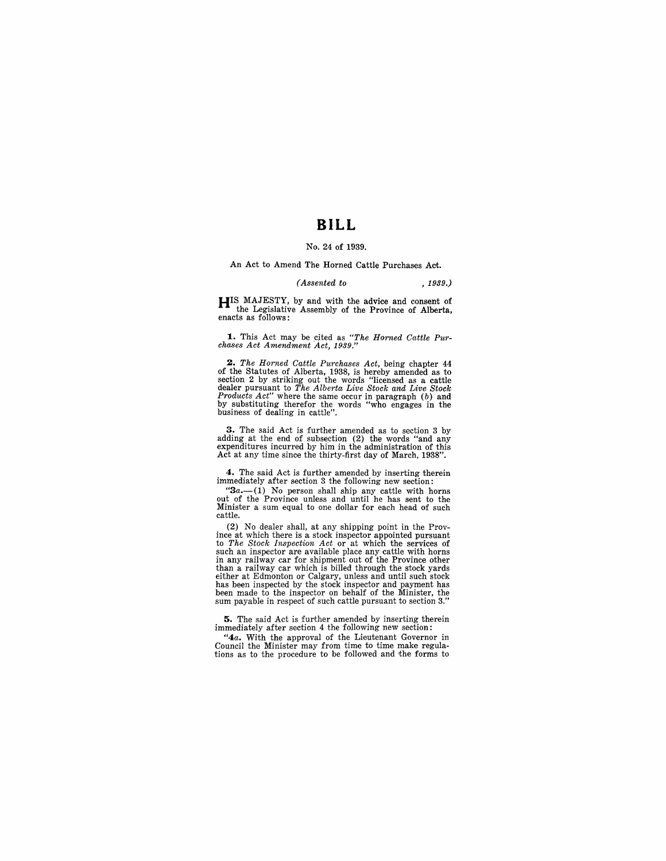## **BILL**

### No. 24 of 1939.

An Act to Amend The Horned Cattle Purchases Act.

### *(Assented to* , 1939.)

HIS MAJESTY, by and with the advice and consent of the Legislative Assembly of the Province of Alberta, enacts as follows:

**1.** This Act may be cited as *"The Horned Cattle Pur-chases Act Amendment Act, 1939."* 

**2.** The Horned Cattle Purchases Act, being chapter 44 of the Statutes of Alberta, 1938, is hereby amended as to section 2 by striking out the words "licensed as a cattle dealer pursuant to The Alberta Live Stock and Live

3. The said Act is further amended as to section 3 by adding at the end of subsedion (2) the words "and any expenditures incurred by him in the administration of this Act at any time since the thirty-first day of March, 1938".

4. The said Act is further amended by inserting therein immediately after section 3 the following new section:

" $3a$ .—(1) No person shall ship any cattle with horns out of the Province unless and until he has sent to the Minister a sum equal to one dollar for each head of such cattle.

(2) No dealer shall, at any shipping point in the Province at which there is a stock inspector appointed pursuant to *The Stock Inspection Act* or at which the services of such an inspector are available place any cattle with horns in any railway car for shipment out of the Province other than a railway car whieh is billed through the stock yards either at Edmonton or Calgary, unless and until such stock<br>has been inspected by the stock inspector and payment has<br>been made to the inspector on behalf of the Minister, the<br>sum payable in respect of such cattle pursuant

5. The said Act is further amended by inserting therein immediately after section 4 the following new section:

*"4a.* With the approval of the Lieutenant Governor in Council the Minister may from time to time make regulations as to the procedure to be followed and the forms to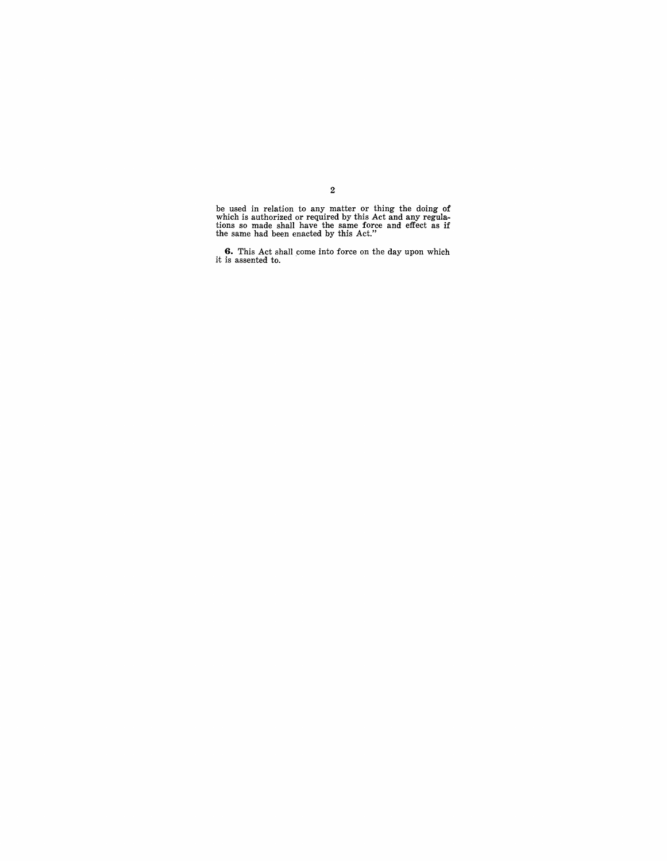be used in relation to any matter or thing the doing of which is authorized or required by this Act and any regula-tions so made shall have the same force and effect as if the same had been enacted by this Act."

**6.** This Act shall come into force on the day upon which it is assented to.

2